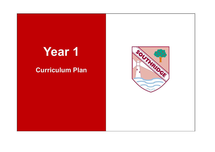## **Year 1**

## **Curriculum Plan**

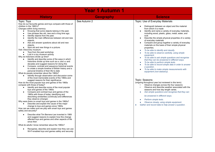| <b>Year 1 Autumn 1</b>                                                                                                                                                                                                                                                                                                                                                                                                                                                                                                                                                                                                                                                                                                                                                                                                                                                                                                                                                                                                                                                                                                                                                                                                                                                                                                                                                                                                                                                                                                                                                                                                                                                                                                                                                                                                                                                                                                                                                                                                                                                                                                                                                                   |                  |                                                                                                                                                                                                                                                                                                                                                                                                                                                                                                                                                                                                                                                                                                                                                                                                                                                                                                                                                                                                                                                                                                                                                                                                                                                                                                                                                                                  |  |
|------------------------------------------------------------------------------------------------------------------------------------------------------------------------------------------------------------------------------------------------------------------------------------------------------------------------------------------------------------------------------------------------------------------------------------------------------------------------------------------------------------------------------------------------------------------------------------------------------------------------------------------------------------------------------------------------------------------------------------------------------------------------------------------------------------------------------------------------------------------------------------------------------------------------------------------------------------------------------------------------------------------------------------------------------------------------------------------------------------------------------------------------------------------------------------------------------------------------------------------------------------------------------------------------------------------------------------------------------------------------------------------------------------------------------------------------------------------------------------------------------------------------------------------------------------------------------------------------------------------------------------------------------------------------------------------------------------------------------------------------------------------------------------------------------------------------------------------------------------------------------------------------------------------------------------------------------------------------------------------------------------------------------------------------------------------------------------------------------------------------------------------------------------------------------------------|------------------|----------------------------------------------------------------------------------------------------------------------------------------------------------------------------------------------------------------------------------------------------------------------------------------------------------------------------------------------------------------------------------------------------------------------------------------------------------------------------------------------------------------------------------------------------------------------------------------------------------------------------------------------------------------------------------------------------------------------------------------------------------------------------------------------------------------------------------------------------------------------------------------------------------------------------------------------------------------------------------------------------------------------------------------------------------------------------------------------------------------------------------------------------------------------------------------------------------------------------------------------------------------------------------------------------------------------------------------------------------------------------------|--|
| <b>History</b>                                                                                                                                                                                                                                                                                                                                                                                                                                                                                                                                                                                                                                                                                                                                                                                                                                                                                                                                                                                                                                                                                                                                                                                                                                                                                                                                                                                                                                                                                                                                                                                                                                                                                                                                                                                                                                                                                                                                                                                                                                                                                                                                                                           | <b>Geography</b> | <b>Science</b>                                                                                                                                                                                                                                                                                                                                                                                                                                                                                                                                                                                                                                                                                                                                                                                                                                                                                                                                                                                                                                                                                                                                                                                                                                                                                                                                                                   |  |
| Topic: Toys<br>How do our favourite games and toys compare with those of<br>children in the 1960's?<br>Changes within living memory.<br>Knowing that some objects belong in the past.<br>$\bullet$<br>Use phrases like old, new and a long time ago.<br>$\bullet$<br>Identify objects from the past.<br>$\bullet$<br>Identify the main differences between old and new<br>$\bullet$<br>objects.<br>Ask and answer questions about old and new<br>$\bullet$<br>objects.<br>Spot old and new things in a picture.<br>$\bullet$<br>Visit: Discovery museum.<br>Toys from the past workshop.<br>$\bullet$<br>Lost in a toy museum activity.<br>$\bullet$<br>Why do historians divide up time?<br>Identify and describe some of the ways in which<br>$\bullet$<br>historians divide up time such as BC and AD and<br>decades and suggest reasons for doing this<br>Compare, contrast and sequence historical events<br>$\bullet$<br>to create a simple timeline of British history and a<br>personal timeline of their life to date<br>What do people remember about the 1960s?<br>Identify through observation and discussion some<br>of the most memorable events of the 1960s and<br>suggest reasons for their significance<br>How do the most popular toys and games of the 1960s<br>compare with those of today?<br>Identify and describe some of the most popular<br>$\bullet$<br>toys and games of the 1960s<br>Compare and contrast toys and games of the<br>1960s with those of today, identifying and<br>describing similarities (continuity) and differences<br>they observe (change)<br>Why were there no smart toys and games in the 1960s?<br>Describe and explain the cause of the major<br>change to toys and games since 1960s<br>How can we make sure we play with smart toys and games<br>safely and securely?<br>Describe what Tim Berners-Lee invented in 1989<br>$\bullet$<br>and suggest reasons to explain how this change<br>affected toys and games and other aspects of life<br>since then<br>What do adults I know remember about the 1960s?<br>Recognise, describe and explain how they can use<br>$\bullet$<br>Wi-Fi-enabled toys and games safely and securely | See Autumn 2     | Topic: Use of Everyday Materials<br>Distinguish between an object and the material<br>$\bullet$<br>from which it is made<br>Identify and name a variety of everyday materials,<br>including wood, plastic, glass, metal, water, and<br>rock<br>Describe the simple physical properties of a variety<br>$\bullet$<br>of everyday materials<br>Compare and group together a variety of everyday<br>materials on the basis of their simple physical<br>properties.<br>To be able to identify and classify.<br>To be able to observe carefully, using simple<br>$\bullet$<br>equipment.<br>To be able to ask simple questions and recognise<br>$\bullet$<br>that they can be answered in different ways.<br>To be able to perform simple tests.<br>To be able to record simple data in order to answer<br>$\bullet$<br>a question.<br>To be able to make simple measurements with<br>$\bullet$<br>equipment (non-statutory).<br>Topic: Seasons<br>(ongoing throughout year but reviewed in this term)<br>Observe changes across the four seasons<br>Observe and describe weather associated with the<br>seasons and how day length varies.<br>Ask simple questions and recognise that they can<br>$\bullet$<br>be answered in different ways.<br>Perform simple tests.<br>$\bullet$<br>Observe closely, using simple equipment.<br>Gather and record data to help answer a question. |  |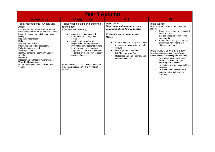| <b>Year 1 Autumn 1</b>                                                                                                                                                                                                                                                                                                                                                                                                                                                                                                      |                                                                                                                                                                                                                                                                                                                                                                                                                                                                                                                            |                                                                                                                                                                                                                                                                                                                                                                                                             |                                                                                                                                                                                                                                                                                                                                                                                                                                                                                                                                                                                                                                                                                                                 |
|-----------------------------------------------------------------------------------------------------------------------------------------------------------------------------------------------------------------------------------------------------------------------------------------------------------------------------------------------------------------------------------------------------------------------------------------------------------------------------------------------------------------------------|----------------------------------------------------------------------------------------------------------------------------------------------------------------------------------------------------------------------------------------------------------------------------------------------------------------------------------------------------------------------------------------------------------------------------------------------------------------------------------------------------------------------------|-------------------------------------------------------------------------------------------------------------------------------------------------------------------------------------------------------------------------------------------------------------------------------------------------------------------------------------------------------------------------------------------------------------|-----------------------------------------------------------------------------------------------------------------------------------------------------------------------------------------------------------------------------------------------------------------------------------------------------------------------------------------------------------------------------------------------------------------------------------------------------------------------------------------------------------------------------------------------------------------------------------------------------------------------------------------------------------------------------------------------------------------|
| <b>Technology</b>                                                                                                                                                                                                                                                                                                                                                                                                                                                                                                           | <b>Computing</b>                                                                                                                                                                                                                                                                                                                                                                                                                                                                                                           | Art                                                                                                                                                                                                                                                                                                                                                                                                         | PE                                                                                                                                                                                                                                                                                                                                                                                                                                                                                                                                                                                                                                                                                                              |
| Topic: Mechanisms- Wheels and<br>Axles<br>Pupils experiment with mechanisms and<br>troubleshoot why some wheels don't rotate,<br>before designing and building a moving<br>Desian<br>Designing Mechanisms.<br>Make<br>Adapting mechanisms.<br>Measuring and cutting accurately.<br>Following a design brief.<br>Working to scale.<br>Identifying materials commonly used for<br>wheels.<br>Evaluate<br>Researching and testing mechanisms<br><b>Technical knowledge</b><br>Understanding how an axle works on a<br>vehicle. | Topic: Keeping Safe and exploring<br>technology<br>Information and Technology<br>recognise common uses of<br>$\bullet$<br>information technology beyond<br>school<br>use technology safely and<br>$\bullet$<br>respectfully, keeping personal<br>information private; identify where<br>to go for help and support when<br>they have concerns about content<br>or contact on the internet or other<br>online technology.<br>E- Safety Pause & Think Online - How can<br>we be safe, responsible, and respectful<br>online? | <b>Topic: Colour</b><br>To develop a wide range of art using<br>colour, line, shape, form and space.<br><b>Explore the work of a famous artist</b><br>Monet.<br>Introduce colour mixing and create<br>$\bullet$<br>a piece of art using warm or cool<br>colours.<br>Use language to evaluate<br>$\bullet$<br>light/dark and warm/cool.<br>Recognise and name primary and<br>$\bullet$<br>secondary colours. | Topic: Dance 1<br>Perform dances using simple movement<br>patterns<br>Respond to a range of stimuli and<br>$\bullet$<br>types of music<br>Explore space, direction, levels<br>$\bullet$<br>and speeds.<br>Experiment creating actions and<br>$\bullet$<br>performing movements with<br>different body parts.<br>Topic: Attack, defend and shoot 1<br>Participate in team games, developing<br>simple tactics for attacking and defending.<br>To practise basic movements<br>$\bullet$<br>including running, jumping,<br>throwing and catching.<br>To begin to engage in competitive<br>$\bullet$<br>activities.<br>To experience opportunities to<br>$\bullet$<br>improve agility, balance and<br>coordination. |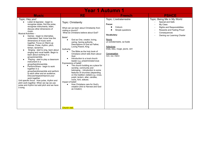| <b>Year 1 Autumn 1</b>                                                                                                                                                                                                                                                                                                                                                                                                                                                                                                                                                                                                                                                                                                                                                                                                                                                                                                                 |                                                                                                                                                                                                                                                                                                                                                                                                                                                                                                                                                                                                                                                                                                                                                                                                                                                                           |                                                                                                                                                                                                                     |                                                                                                                                                                                                                                                                           |
|----------------------------------------------------------------------------------------------------------------------------------------------------------------------------------------------------------------------------------------------------------------------------------------------------------------------------------------------------------------------------------------------------------------------------------------------------------------------------------------------------------------------------------------------------------------------------------------------------------------------------------------------------------------------------------------------------------------------------------------------------------------------------------------------------------------------------------------------------------------------------------------------------------------------------------------|---------------------------------------------------------------------------------------------------------------------------------------------------------------------------------------------------------------------------------------------------------------------------------------------------------------------------------------------------------------------------------------------------------------------------------------------------------------------------------------------------------------------------------------------------------------------------------------------------------------------------------------------------------------------------------------------------------------------------------------------------------------------------------------------------------------------------------------------------------------------------|---------------------------------------------------------------------------------------------------------------------------------------------------------------------------------------------------------------------|---------------------------------------------------------------------------------------------------------------------------------------------------------------------------------------------------------------------------------------------------------------------------|
| <b>Music</b>                                                                                                                                                                                                                                                                                                                                                                                                                                                                                                                                                                                                                                                                                                                                                                                                                                                                                                                           | <b>RE</b>                                                                                                                                                                                                                                                                                                                                                                                                                                                                                                                                                                                                                                                                                                                                                                                                                                                                 | <b>French</b>                                                                                                                                                                                                       | <b>PSHCE</b>                                                                                                                                                                                                                                                              |
| Topic: Hey you!<br>Listen & Appraise - begin to<br>recognise styles, find the pulse,<br>recognise instruments, listen,<br>discuss other dimensions of<br>music.<br><b>Musical Activities -</b><br>Games - begin to internalise,<br>$\bullet$<br>understand, feel, know how the<br>dimensions of music work<br>together. Focus on Warm-up<br>Games. Pulse, rhythm, pitch,<br>tempo, dynamics.<br>Singing - start to sing, learn about<br>singing and vocal health. Begin to<br>learn about working in a<br>group/ensemble.<br>Playing - start to play a classroom<br>instrument in a<br>group/band/ensemble.<br>Perform/Share - begin to work<br>together in a<br>group/band/ensemble and perform<br>to each other and an audience.<br>Discuss/respect/improve your<br>work together.<br>Unit specific focus: How pulse, rhythm and<br>pitch work together. When we rap we use<br>pulse and rhythm but add pitch and we have<br>a song. | Topic: Christianity<br>What can we learn about Christianity from<br>visiting a church?<br>What do Christians believe about God?<br>Belief:<br>God as One, creator, loving,<br>$\bullet$<br>caring, having authority.<br>Descriptions of God as Father,<br>Loving Parent, King<br>Authority:<br>The Bible as the holy book of<br>$\bullet$<br>Christians which tells them about<br>God.<br>Introduction to a local church<br>leader e.g. priest/minister/vicar.<br>Expressions of belief:<br>The church building as a place for<br>worship, community and<br>belonging, - introduction to some<br>features of churches (depending<br>on the tradition visited) e.g. cross,<br>pulpit, lectern, altar, candles,<br>icons, font, statues.<br>Impact of belief:<br>How Christians care for God's<br>creation (link to Harvest and God<br>as Creator).<br><b>Church visit.</b> | Topic: L'extraterrestre<br>Focus:<br>Colours<br>Simple questions<br>Vocabulary:<br><b>Nouns</b><br>un extraterrestre, sa fusée<br>Adjectives<br>triste, bleu, rouge, jaune, vert<br>Conversation<br>non, oui, merci | Topic: Being Me in My World<br>Special and Safe<br>My Class<br>$\overline{\phantom{a}}$<br><b>Rights and Responsibilities</b><br>$\overline{a}$<br>Rewards and Feeling Proud<br>$\overline{a}$<br>Consequences<br>$\overline{\phantom{a}}$<br>Owning our Learning Charter |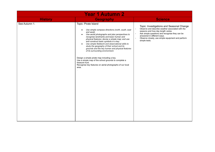| <b>Year 1 Autumn 2</b> |                                                                                                                                                                                                                                                                                                                                                                                                                                                                                                                                                                                                                                                                                                                  |                                                                                                                                                                                                                                                                                                                                                                           |  |
|------------------------|------------------------------------------------------------------------------------------------------------------------------------------------------------------------------------------------------------------------------------------------------------------------------------------------------------------------------------------------------------------------------------------------------------------------------------------------------------------------------------------------------------------------------------------------------------------------------------------------------------------------------------------------------------------------------------------------------------------|---------------------------------------------------------------------------------------------------------------------------------------------------------------------------------------------------------------------------------------------------------------------------------------------------------------------------------------------------------------------------|--|
| <b>History</b>         | <b>Geography</b>                                                                                                                                                                                                                                                                                                                                                                                                                                                                                                                                                                                                                                                                                                 | <b>Science</b>                                                                                                                                                                                                                                                                                                                                                            |  |
| See Autumn 1.          | Topic: Pirate Island<br>Use simple compass directions (north, south, east<br>$\bullet$<br>and west).<br>Use aerial photographs and plan perspectives to<br>$\bullet$<br>recognise landmarks and basic human and<br>physical features; devise a simple map; and use<br>and construct basic symbols in a key.<br>Use simple fieldwork and observational skills to<br>$\bullet$<br>study the geography of their school and its<br>grounds and the key human and physical features<br>of its surrounding environment.<br>Design a simple pirate map including a key.<br>Use a simple map of the school grounds to complete a<br>treasure hunt.<br>Recognise key features on aerial photographs of our local<br>area. | Topic: Investigations and Seasonal Change<br>Observe and describe weather associated with the<br>$\overline{\phantom{a}}$<br>seasons and how day length varies.<br>Ask simple questions and recognise they can be<br>$\overline{\phantom{a}}$<br>answered in different ways.<br>Observe closely, use simple equipment and perform<br>$\bar{\phantom{a}}$<br>simple tests. |  |
|                        |                                                                                                                                                                                                                                                                                                                                                                                                                                                                                                                                                                                                                                                                                                                  |                                                                                                                                                                                                                                                                                                                                                                           |  |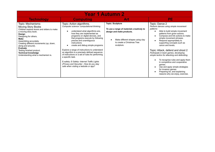| <b>Year 1 Autumn 2</b>                                                                                                                                                                                                                                                                                                                                                    |                                                                                                                                                                                                                                                                                                                                                                                                                                                                                                                                                                                                              |                                                                                                                                                                                   |                                                                                                                                                                                                                                                                                                                                                                                                                                                                                                                                                                                                                                 |  |
|---------------------------------------------------------------------------------------------------------------------------------------------------------------------------------------------------------------------------------------------------------------------------------------------------------------------------------------------------------------------------|--------------------------------------------------------------------------------------------------------------------------------------------------------------------------------------------------------------------------------------------------------------------------------------------------------------------------------------------------------------------------------------------------------------------------------------------------------------------------------------------------------------------------------------------------------------------------------------------------------------|-----------------------------------------------------------------------------------------------------------------------------------------------------------------------------------|---------------------------------------------------------------------------------------------------------------------------------------------------------------------------------------------------------------------------------------------------------------------------------------------------------------------------------------------------------------------------------------------------------------------------------------------------------------------------------------------------------------------------------------------------------------------------------------------------------------------------------|--|
| <b>Technology</b>                                                                                                                                                                                                                                                                                                                                                         | <b>Computing</b>                                                                                                                                                                                                                                                                                                                                                                                                                                                                                                                                                                                             | Art                                                                                                                                                                               | <b>PE</b>                                                                                                                                                                                                                                                                                                                                                                                                                                                                                                                                                                                                                       |  |
| Topic: Mechanisms-<br><b>Moving Story Books</b><br>Children explore levers and sliders to make<br>a moving story book.<br>Design<br>Designing for others.<br>Make<br>Assembling accurately.<br>Creating different movements (up, down,<br>along and around).<br>Evaluate<br>Testing finished product.<br><b>Technical knowledge</b><br>Understanding what a mechanism is. | Topic: Action algorithms.<br>Computer science-computational thinking.<br>understand what algorithms are,<br>how they are implemented as<br>programs on digital devices, and<br>that programs execute by following<br>precise and unambiguous<br>instructions<br>create and debug simple programs<br>Explore a range of instructions to understand<br>an algorithm is a precisely defined sequence<br>of instructions or a set of rules for performing<br>a specific task.<br>E-safety: E-Safety- Internet Traffic Lights<br>(Privacy and Security) - How do you stay<br>safe when visiting a website or app? | <b>Topic: Sculpture</b><br>To use a range of materials creatively to<br>design and make products.<br>Make different shapes using clay<br>to create a Christmas Tree<br>sculpture. | Topic: Dance 2<br>Perform dances using simple movement<br>patterns<br>Able to build simple movement<br>patterns from given actions.<br>Compose and link actions to make<br>simple movement phrases.<br>Respond appropriately to<br>supporting concepts such as<br>canon and levels.<br>Topic: Attack, defend and shoot 2<br>Participate in team games, developing<br>simple tactics for attacking and defending.<br>To recognise rules and apply them<br>in competitive and cooperative<br>games.<br>Use and apply simple strategies<br>for invasion games.<br>Preparing for, and explaining<br>reasons why we enjoy, exercise. |  |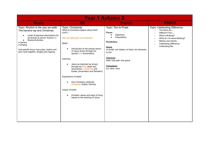| <b>Year 1 Autumn 2</b>                                                                                                                                                                                                                                                                      |                                                                                                                                                                                                                                                                                                                                                                                                                                                                                                                                                                                                                         |                                                                                                                                                                                                                                      |                                                                                                                                                                                                                                     |
|---------------------------------------------------------------------------------------------------------------------------------------------------------------------------------------------------------------------------------------------------------------------------------------------|-------------------------------------------------------------------------------------------------------------------------------------------------------------------------------------------------------------------------------------------------------------------------------------------------------------------------------------------------------------------------------------------------------------------------------------------------------------------------------------------------------------------------------------------------------------------------------------------------------------------------|--------------------------------------------------------------------------------------------------------------------------------------------------------------------------------------------------------------------------------------|-------------------------------------------------------------------------------------------------------------------------------------------------------------------------------------------------------------------------------------|
| <b>Music</b>                                                                                                                                                                                                                                                                                | <b>RE</b>                                                                                                                                                                                                                                                                                                                                                                                                                                                                                                                                                                                                               | <b>French</b>                                                                                                                                                                                                                        | <b>PSHCE</b>                                                                                                                                                                                                                        |
| Topic: Rhythm in the way we walk/<br>The banana rap and Christmas<br>Listen & Appraise (descriptions for<br>all strands as above-Autumn 1)<br><b>Musical Activities:</b><br>• Games<br>• Singing<br>Unit specific focus: how pulse, rhythm and<br>pitch work together. Singing and rapping. | Topic: Christianity<br>What do Christians believe about God?<br>(cont.)<br>Why are gifts given at Christmas?<br>Belief:<br>Introduction to the special nature<br>$\bullet$<br>of Jesus shown through his<br>special birth [Incarnation].<br>Authority:<br>Jesus as important as shown<br>$\bullet$<br>through his birth, death and<br>resurrection - Christmas and<br>Easter. [Incarnation and Salvation]<br>Expressions of belief:<br>How Christians celebrate<br>$\bullet$<br>Christmas, Easter, Harvest.<br>Impact of belief:<br>Christian values and ways of living<br>$\bullet$<br>based on the teaching of Jesus. | Topic: Tom le Pirate<br>Focus:<br>Adjectives<br>Prepositions<br>Vocabulary:<br>Nouns<br>un pirate, son bateau, le trésor, les diamants,<br>la mer<br>Adjectives<br>triste, trop petit, trop grand<br>Prepositions<br>sur, dans, sous | <b>Topic: Celebrating Difference</b><br>The Same As<br>Different From<br>What is Bullying?<br>$\blacksquare$<br>What do I do about Bullying?<br>$\blacksquare$<br>Making new friends.<br>Celebrating Difference,<br>Celebrating Me. |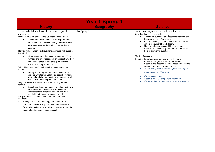| <b>Year 1 Spring 1</b>                                                                                                                                                                                                                                                                                                                                                                                                                                                                                                                                                                                                                                                                                                                                                                                                                                                                                                                                                                                                                                                                                                                                                                                                                                                                                                                                                                                 |                  |                                                                                                                                                                                                                                                                                                                                                                                                                                                                                                                                                                                                                                                                                                                                                                                                                                                                          |  |
|--------------------------------------------------------------------------------------------------------------------------------------------------------------------------------------------------------------------------------------------------------------------------------------------------------------------------------------------------------------------------------------------------------------------------------------------------------------------------------------------------------------------------------------------------------------------------------------------------------------------------------------------------------------------------------------------------------------------------------------------------------------------------------------------------------------------------------------------------------------------------------------------------------------------------------------------------------------------------------------------------------------------------------------------------------------------------------------------------------------------------------------------------------------------------------------------------------------------------------------------------------------------------------------------------------------------------------------------------------------------------------------------------------|------------------|--------------------------------------------------------------------------------------------------------------------------------------------------------------------------------------------------------------------------------------------------------------------------------------------------------------------------------------------------------------------------------------------------------------------------------------------------------------------------------------------------------------------------------------------------------------------------------------------------------------------------------------------------------------------------------------------------------------------------------------------------------------------------------------------------------------------------------------------------------------------------|--|
| <b>History</b>                                                                                                                                                                                                                                                                                                                                                                                                                                                                                                                                                                                                                                                                                                                                                                                                                                                                                                                                                                                                                                                                                                                                                                                                                                                                                                                                                                                         | <b>Geography</b> | <b>Science</b>                                                                                                                                                                                                                                                                                                                                                                                                                                                                                                                                                                                                                                                                                                                                                                                                                                                           |  |
| Topic: What does it take to become a great<br>explorer?<br>Why is Ranulph Fiennes in the Guinness World Records?<br>Describe the achievements of Ranulph Fiennes,<br>the qualities he possesses and give reasons why<br>he is recognised as the world's greatest living<br>explorer<br>How do Amy Johnson's achievements compare with those of<br>Ranulph?<br>Give an account of the accomplishments of Amy<br>$\bullet$<br>Johnson and give reasons which suggest why they<br>can be considered remarkable given the role of<br>women in society at the time<br>Why did Christopher Columbus sail across an unknown<br>ocean?<br>Identify and recognise the main motives of the<br>explorer Christopher Columbus, describe what he<br>achieved and give reasons to help understand why<br>he was able to accomplish what he did<br>Why was Neil Armstrong's small step also 'a great leap'<br>forward?<br>Describe and suggest reasons to help explain why<br>$\bullet$<br>the achievement of Neil Armstrong was so<br>significant in the history of mankind and what<br>enabled him to accomplish what he did<br>Are you the kind of person who could become a Mars<br>explorer?<br>Recognise, observe and suggest reasons for the<br>particular challenges explorers venturing to Mars will<br>face and explain the personal qualities they will require<br>to complete the expedition successfully | See Spring 2     | Topic: Investigations linked to explorers<br>(application of materials topic)<br>Ask simple questions and recognise that they can<br>$\bullet$<br>be answered in different ways.<br>Observe closely, use simple equipment, perform<br>$\bullet$<br>simple tests, identify and classify<br>Use their observations and ideas to suggest<br>$\bullet$<br>answers to questions, gather and record data to<br>help in answering questions.<br>Topic: Seasons<br>(ongoing throughout year but reviewed in this term)<br>Observe changes across the four seasons<br>Observe and describe weather associated with the<br>seasons and how day length varies.<br>Ask simple questions and recognise that they can<br>۰<br>be answered in different ways.<br>Perform simple tests.<br>Observe closely, using simple equipment.<br>Gather and record data to help answer a question. |  |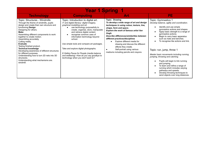| <b>Year 1 Spring 1</b>                                                                                                                                                                                                                                                                                                                                                                                                                                                                                                                                                    |                                                                                                                                                                                                                                                                                                                                                                                                                                                                                                                          |                                                                                                                                                                                                                                                                                                                                                                                                                                                         |                                                                                                                                                                                                                                                                                                                                                                                                                                                                                                                                                                                                                                        |
|---------------------------------------------------------------------------------------------------------------------------------------------------------------------------------------------------------------------------------------------------------------------------------------------------------------------------------------------------------------------------------------------------------------------------------------------------------------------------------------------------------------------------------------------------------------------------|--------------------------------------------------------------------------------------------------------------------------------------------------------------------------------------------------------------------------------------------------------------------------------------------------------------------------------------------------------------------------------------------------------------------------------------------------------------------------------------------------------------------------|---------------------------------------------------------------------------------------------------------------------------------------------------------------------------------------------------------------------------------------------------------------------------------------------------------------------------------------------------------------------------------------------------------------------------------------------------------|----------------------------------------------------------------------------------------------------------------------------------------------------------------------------------------------------------------------------------------------------------------------------------------------------------------------------------------------------------------------------------------------------------------------------------------------------------------------------------------------------------------------------------------------------------------------------------------------------------------------------------------|
| <b>Technology</b>                                                                                                                                                                                                                                                                                                                                                                                                                                                                                                                                                         | <b>Computing</b>                                                                                                                                                                                                                                                                                                                                                                                                                                                                                                         | Art                                                                                                                                                                                                                                                                                                                                                                                                                                                     | PE.                                                                                                                                                                                                                                                                                                                                                                                                                                                                                                                                                                                                                                    |
| Topic: Structures - Windmills<br>Through the theme of windmills, pupils<br>design and create their own structure and<br>functioning Design<br>Designing for others.<br>Make<br>Assembling different components to work<br>together to create motion.<br>Assembling accurately.<br>Cutting neatly.<br><b>Evaluate</b><br>Testing finished product.<br><b>Technical knowledge</b><br>Developing awareness of different structures<br>for different purposes.<br>Understanding how to turn 2D nets into 3D<br>structures.<br>Understanding what mechanisms are.<br>windmill. | Topic: Introduction to digital art.<br>IT and digital literacy- digital imagery,<br>graphical modelling and art.<br>use technology purposefully to<br>create, organise, store, manipulate<br>and retrieve digital content.<br>recognise common uses of<br>information technology beyond<br>school.<br>Use simple tools and compare art packages.<br>Take and explore digital photographs.<br>E-Safety-Pause for People (media balance<br>and wellbeing) -How do you say goodbye to<br>technology when you don't want to? | <b>Topic: Drawing</b><br>To develop a wide range of art and design<br>techniques in using colour, texture, line,<br>shape, form and space.<br><b>Explore the work of famous artist Van</b><br>Gogh.<br>Describe differences/similarities between<br>different practices/disciplines<br>Explore different media for<br>drawing and discuss the different<br>effects they create.<br>Self-portrait using various<br>mediums including pencils and crayons | Topic: Gymnastics 1<br>Develop balance, agility and coordination.<br>Identify and use simple<br>gymnastics actions and shapes.<br>Apply basic strength to a range of<br>gymnastics actions.<br>Begin to carry basic apparatus<br>such as mats and benches.<br>To recognise like actions and link.<br>Topic: run, jump, throw 1<br>Master basic movements including running,<br>jumping, throwing and catching.<br>Pupils will begin to link running<br>and jumping.<br>To learn and refine a range of<br>running which includes varying<br>pathways and speeds.<br>Develop throwing techniques to<br>send objects over long distances. |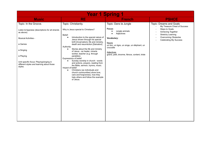| <b>Year 1 Spring 1</b>                                                                                                                                                                                                                                       |                                                                                                                                                                                                                                                                                                                                                                                                                                                                                                                                                                                                                                                                                                                                                    |                                                                                                                                                                                                                                   |                                                                                                                                                                                                                                                                |
|--------------------------------------------------------------------------------------------------------------------------------------------------------------------------------------------------------------------------------------------------------------|----------------------------------------------------------------------------------------------------------------------------------------------------------------------------------------------------------------------------------------------------------------------------------------------------------------------------------------------------------------------------------------------------------------------------------------------------------------------------------------------------------------------------------------------------------------------------------------------------------------------------------------------------------------------------------------------------------------------------------------------------|-----------------------------------------------------------------------------------------------------------------------------------------------------------------------------------------------------------------------------------|----------------------------------------------------------------------------------------------------------------------------------------------------------------------------------------------------------------------------------------------------------------|
| <b>Music</b>                                                                                                                                                                                                                                                 | <b>RE</b>                                                                                                                                                                                                                                                                                                                                                                                                                                                                                                                                                                                                                                                                                                                                          | <b>French</b>                                                                                                                                                                                                                     | <b>PSHCE</b>                                                                                                                                                                                                                                                   |
| Topic: In the Groove.<br>Listen & Appraise (descriptions for all strands<br>as above)<br><b>Musical Activities -</b><br>• Games<br>• Singing<br>• Playing<br>Unit specific focus: Playing/singing in<br>different styles and learning about those<br>styles. | Topic: Christianity.<br>Why is Jesus special to Christians?<br>Belief:<br>Introduction to the special nature of<br>$\bullet$<br>Jesus shown through his special<br>birth [Incarnation], life and ministry,<br>death and resurrection [Salvation]<br>Authority:<br>Stories about the life and ministry<br>$\bullet$<br>of Jesus - as healer, miracle<br>worker, teacher (e.g. through<br>parables).<br>Expressions of belief:<br>Sunday worship in church - words<br>$\bullet$<br>and actions, prayers, reading from<br>the Bible, sermon, hymns, music.<br>Impact of belief:<br>Christians (as individuals and<br>$\bullet$<br>church communities) show love,<br>care and forgiveness, how they<br>help others and follow the example<br>of Jesus. | Topic: Dans la Jungle<br>Focus:<br>Jungle animals<br>Adjectives<br>Vocabulary:<br><b>Nouns</b><br>un lion, un tigre, un singe, un éléphant, un<br>crocodile<br><b>Adjectives</b><br>grand, petit, énorme, féroce, content, triste | Topic: Dreams and Goals<br>My Treasure Chest of Success<br>Steps to Goals<br>$\overline{a}$<br>Achieving Together<br><b>Stretchy Learning</b><br>$\overline{\phantom{a}}$<br>Overcoming Obstacles<br>$\overline{\phantom{a}}$<br><b>Celebrating My Success</b> |
|                                                                                                                                                                                                                                                              |                                                                                                                                                                                                                                                                                                                                                                                                                                                                                                                                                                                                                                                                                                                                                    |                                                                                                                                                                                                                                   |                                                                                                                                                                                                                                                                |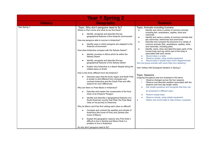|                | <b>Year 1 Spring 2</b>                                                                                                                                                                                 |                                                                                                                                                                                          |
|----------------|--------------------------------------------------------------------------------------------------------------------------------------------------------------------------------------------------------|------------------------------------------------------------------------------------------------------------------------------------------------------------------------------------------|
| <b>History</b> | <b>Geography</b>                                                                                                                                                                                       | <b>Science</b>                                                                                                                                                                           |
| See Spring 1   | Topic: Why don't penguins need to fly?<br>Where is Pip's home and what do we find there?                                                                                                               | Topic: Animals including humans<br>Identify and name a variety of common animals<br>$\bullet$                                                                                            |
|                | Identify, recognise and describe the key<br>$\bullet$<br>geographical features of the Antarctic environment                                                                                            | including fish, amphibians, reptiles, birds and<br>mammals<br>Identify and name a variety of common animals that<br>$\bullet$                                                            |
|                | How are penguins able to survive in Antarctica?                                                                                                                                                        | are carnivores, herbivores and omnivores.<br>Describe and compare the structure of a variety of<br>$\bullet$                                                                             |
|                | Identify ways in which penguins are adapted to the<br>$\bullet$<br>Antarctic environment                                                                                                               | common animals (fish, amphibians, reptiles, birds<br>and mammals, including pets)                                                                                                        |
|                | How does Antarctica compare with the Sahara Desert?                                                                                                                                                    | Identify, name, draw and label the basic parts of the<br>$\bullet$<br>human body and say which part of the body is                                                                       |
|                | Identify countries in Africa which lie within the<br>$\bullet$<br>Sahara Desert                                                                                                                        | associated with each sense.<br>Record data in a table.<br>Observe closely, using simple equipment.                                                                                       |
|                | Identify, recognise and describe the key<br>$\bullet$<br>geographical features of the Sahara Desert                                                                                                    | Record data in simple ways (Venn diagram/chart).<br>Sort and group animals with some help (non-statutory).                                                                               |
|                | Explain why Antarctica is a desert despite being the<br>$\bullet$<br>coldest place on Earth                                                                                                            | Visit: Kirkley Hall Zoological Gardens in Spring 2.                                                                                                                                      |
|                | How is the Arctic different from the Antarctic?                                                                                                                                                        | Topic: Seasons                                                                                                                                                                           |
|                | Describe ways that the Arctic region and North Pole<br>$\bullet$<br>is similar to and different from (compare and<br>contrast) Antarctica and the South Pole and offer<br>reasons for such differences | (ongoing throughout year but reviewed in this term)<br>Observe changes across the four seasons<br>Observe and describe weather associated with the<br>seasons and how day length varies. |
|                | Why are there no Polar Bears in Antarctica?                                                                                                                                                            | Ask simple questions and recognise that they can<br>$\bullet$                                                                                                                            |
|                | Describe and explain the components of the food<br>$\bullet$<br>chain of an Emperor Penguin                                                                                                            | be answered in different ways.<br>Perform simple tests.                                                                                                                                  |
|                | Identify and describe 3 geographical features of a<br>South American country that Peter the Polar Bear<br>visits on his journey to Antarctica                                                          | Observe closely, using simple equipment.<br>Gather and record data to help answer a question.<br>$\bullet$                                                                               |
|                | Why do Marco and Polo find visiting each other so difficult?                                                                                                                                           |                                                                                                                                                                                          |
|                | Compare and contrast the weather and climate of<br>Antarctica (the home of Polo) and Zambia (the<br>home of Marco)                                                                                     |                                                                                                                                                                                          |
|                | Explain the geographic reasons why Polo finds it<br>$\bullet$<br>difficult to live in Zambia and Marco finds it a<br>problem to live in Antarctica                                                     |                                                                                                                                                                                          |
|                | So why don't penguins need to fly?                                                                                                                                                                     |                                                                                                                                                                                          |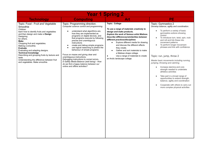| <b>Year 1 Spring 2</b>                                                                                                                                                                                                                                                                                                                                                                                                                                                    |                                                                                                                                                                                                                                                                                                                                                                                                                                                                                                                                                                                                                                                                |                                                                                                                                                                                                                                                                                                                                                                                                                                                                                                         |                                                                                                                                                                                                                                                                                                                                                                                                                                                                                                                                                                                                                                                                                                                                                                                 |
|---------------------------------------------------------------------------------------------------------------------------------------------------------------------------------------------------------------------------------------------------------------------------------------------------------------------------------------------------------------------------------------------------------------------------------------------------------------------------|----------------------------------------------------------------------------------------------------------------------------------------------------------------------------------------------------------------------------------------------------------------------------------------------------------------------------------------------------------------------------------------------------------------------------------------------------------------------------------------------------------------------------------------------------------------------------------------------------------------------------------------------------------------|---------------------------------------------------------------------------------------------------------------------------------------------------------------------------------------------------------------------------------------------------------------------------------------------------------------------------------------------------------------------------------------------------------------------------------------------------------------------------------------------------------|---------------------------------------------------------------------------------------------------------------------------------------------------------------------------------------------------------------------------------------------------------------------------------------------------------------------------------------------------------------------------------------------------------------------------------------------------------------------------------------------------------------------------------------------------------------------------------------------------------------------------------------------------------------------------------------------------------------------------------------------------------------------------------|
| <b>Technology</b>                                                                                                                                                                                                                                                                                                                                                                                                                                                         | <b>Computing</b>                                                                                                                                                                                                                                                                                                                                                                                                                                                                                                                                                                                                                                               | Art                                                                                                                                                                                                                                                                                                                                                                                                                                                                                                     | <b>PE</b>                                                                                                                                                                                                                                                                                                                                                                                                                                                                                                                                                                                                                                                                                                                                                                       |
| Topic: Food - Fruit and Vegetable<br>Smoothie<br>Children<br>learn how to identify fruits and vegetables<br>and then design and make a Design<br>Designing<br>for others.<br>Make<br>Chopping fruit and vegetables.<br>Making a smoothie.<br><b>Evaluate</b><br>Evaluating and adapting designs.<br><b>Technical knowledge</b><br>Describing and grouping fruits by texture and<br>taste.<br>Understanding the difference between fruit<br>and vegetables. Make smoothie. | Topic: Programming direction.<br>Computer science control and programming.<br>understand what algorithms are,<br>$\bullet$<br>how they are implemented as<br>programs on digital devices, and<br>that programs execute by following<br>precise and unambiquous<br>instructions<br>create and debug simple programs<br>$\bullet$<br>use logical reasoning to predict the<br>$\bullet$<br>behaviour of simple programs<br>Focus on mazes and giving clear and<br>unambiquous instructions.<br>Debugging instructions to correct errors.<br>E-Safety Media Balance (well being) - How<br>do we find a happy balance between our<br>online and offline activities? | <b>Topic: Collage</b><br>To use a range of materials creatively to<br>design and make products.<br>Explore the work of famous artist Matisse.<br>Describe differences/similarities between<br>different practices/disciplines<br>Explore different media for drawing<br>$\bullet$<br>and discuss the different effects<br>they create.<br>Gather and sort materials to make<br>$\bullet$<br>a Matisse shape collage.<br>Use a range of materials to create<br>$\bullet$<br>an Arctic landscape collage. | Topic: Gymnastics 2<br>Develop balance, agility and coordination.<br>To perform a variety of basic<br>$\bullet$<br>gymnastics actions showing<br>control<br>To introduce turn, twist, spin, rock<br>$\bullet$<br>and roll and link these into<br>movement patterns<br>To perform longer movement<br>$\bullet$<br>phrases and link with confidence<br>Topic: run, jump, throw 2<br>Master basic movements including running,<br>jumping, throwing and catching.<br>Increase stamina and core<br>$\bullet$<br>strength needed to undertake<br>athletics activities<br>Take part in a broad range of<br>$\bullet$<br>opportunities to extend strength,<br>balance, agility and coordination<br>Cooperate with others to carry out<br>$\bullet$<br>more complex physical activities |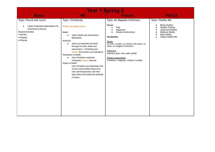| <b>Year 1 Spring 2</b>                                                                                                                                                    |                                                                                                                                                                                                                                                                                                                                                                                                                                                                                                                                                                                |                                                                                                                                                                                                                                                                                                                                |                                                                                                                                                             |
|---------------------------------------------------------------------------------------------------------------------------------------------------------------------------|--------------------------------------------------------------------------------------------------------------------------------------------------------------------------------------------------------------------------------------------------------------------------------------------------------------------------------------------------------------------------------------------------------------------------------------------------------------------------------------------------------------------------------------------------------------------------------|--------------------------------------------------------------------------------------------------------------------------------------------------------------------------------------------------------------------------------------------------------------------------------------------------------------------------------|-------------------------------------------------------------------------------------------------------------------------------------------------------------|
| <b>Music</b>                                                                                                                                                              | <b>RE</b>                                                                                                                                                                                                                                                                                                                                                                                                                                                                                                                                                                      | <b>French</b>                                                                                                                                                                                                                                                                                                                  | <b>PSHCE</b>                                                                                                                                                |
| Topic: Round and round.<br>Listen & Appraise (descriptions for<br>all strands as above)<br><b>Musical Activities</b><br>$\bullet$ Games<br>$\bullet$ Singing<br>• Playing | Topic: Christianity.<br>What is the Easter story?<br>Belief:<br>Jesus' death and resurrection<br>$\bullet$<br>[Salvation].<br>Authority:<br>Jesus as important as shown<br>$\bullet$<br>through his birth, death and<br>resurrection - Christmas and<br>Easter. [Incarnation and Salvation]<br>Expression of belief:<br>How Christians celebrate<br>$\bullet$<br>Christmas, Easter, Harvest.<br>Impact of belief:<br>How Christians (as individuals and<br>church communities) show love,<br>care and forgiveness, how they<br>help others and follow the example<br>of Jesus. | Topic: Au Magasin d'Animaux<br>Focus:<br>Pets<br>Adjectives<br>Simple constructions<br>Vocabulary:<br>Nouns<br>un chat, un lapin, un cheval, une souris, un<br>chien, un magasin d'animaux<br><b>Adjectives</b><br>méchant, gros, cher, petit, parfait<br>Simple constructions<br>Il cherche, il regarde, il refuse, il achète | Topic: Healthy Me<br>Being Healthy<br><b>Healthy Choices</b><br>Clean and Healthy<br><b>Medicine Safety</b><br>Road Safety<br>$\bullet$<br>Happy Healthy Me |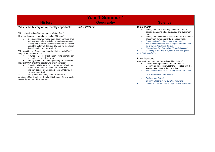| <b>Year 1 Summer 1</b>                                                                                                                                                                                                                                                                                                                                                                                                                                                                                                                                                                                                                                                                                                                                                                                                                                                                                                                                                                                                                                       |                  |                                                                                                                                                                                                                                                                                                                                                                                                                                                                                                                                                                                                                                                                                                                                                                                                                                                                                                                                                                                              |  |
|--------------------------------------------------------------------------------------------------------------------------------------------------------------------------------------------------------------------------------------------------------------------------------------------------------------------------------------------------------------------------------------------------------------------------------------------------------------------------------------------------------------------------------------------------------------------------------------------------------------------------------------------------------------------------------------------------------------------------------------------------------------------------------------------------------------------------------------------------------------------------------------------------------------------------------------------------------------------------------------------------------------------------------------------------------------|------------------|----------------------------------------------------------------------------------------------------------------------------------------------------------------------------------------------------------------------------------------------------------------------------------------------------------------------------------------------------------------------------------------------------------------------------------------------------------------------------------------------------------------------------------------------------------------------------------------------------------------------------------------------------------------------------------------------------------------------------------------------------------------------------------------------------------------------------------------------------------------------------------------------------------------------------------------------------------------------------------------------|--|
| <b>History</b>                                                                                                                                                                                                                                                                                                                                                                                                                                                                                                                                                                                                                                                                                                                                                                                                                                                                                                                                                                                                                                               | <b>Geography</b> | <b>Science</b>                                                                                                                                                                                                                                                                                                                                                                                                                                                                                                                                                                                                                                                                                                                                                                                                                                                                                                                                                                               |  |
| Why is the history of my locality important?<br>Why is the Spanish City important to Whitley Bay?<br>How has the area changed over the last 100years?<br>Discuss what we already know about our local area<br>and an observational activity using photographs of<br>Whitley Bay over the years followed by a discussion<br>about the history of Spanish City and the significant<br>dates (creation and renovation).<br>Why was George Stephenson important to the North East?<br>Why do we remember him?<br>Pictures of George Stephenson - who might he be?<br>Add pictures for further clues.<br>Identify routes of the first 3 passenger railway lines.<br>How did WW1 affect the people who live in our area?<br>Providing a little background to the war. Watch the<br>videos on life in the trenches and follow with a<br>role-play activity of living in a trench. What would<br>life have been like?<br>Group Research using ipads - Colin Miller<br>Jamieson. Use Google Earth to find his house - 22 Newcastle<br>Street, Tynemouth (blue plaque) | See Summer 2     | <b>Topic: Plants</b><br>Identify and name a variety of common wild and<br>garden plants, including deciduous and evergreen<br>trees.<br>Identify and describe the basic structure of a variety<br>$\bullet$<br>of common flowering plants, including trees.<br>Observe closely using simple equipment<br>$\bullet$<br>Ask simple questions and recognise that they can<br>be answered in different ways.<br>Use parts of the plant to identify and classify it.<br>Use simple features of a plant to sort and group<br>them (non-statutory).<br>Topic: Seasons<br>(ongoing throughout year but reviewed in this term)<br>Observe changes across the four seasons<br>Observe and describe weather associated with the<br>٠<br>seasons and how day length varies.<br>Ask simple questions and recognise that they can<br>be answered in different ways.<br>Perform simple tests.<br>$\bullet$<br>Observe closely, using simple equipment.<br>Gather and record data to help answer a question. |  |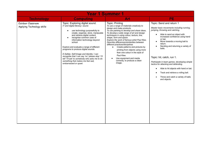| <b>Year 1 Summer 1</b>                          |                                                                                                                                                                                                                                                                                                                                                                                                                                                                                                                                                                     |                                                                                                                                                                                                                                                                                                                                                                                                                                                                                                                                                                                                      |                                                                                                                                                                                                                                                                                                                                                                                                                                                                                                                                                          |
|-------------------------------------------------|---------------------------------------------------------------------------------------------------------------------------------------------------------------------------------------------------------------------------------------------------------------------------------------------------------------------------------------------------------------------------------------------------------------------------------------------------------------------------------------------------------------------------------------------------------------------|------------------------------------------------------------------------------------------------------------------------------------------------------------------------------------------------------------------------------------------------------------------------------------------------------------------------------------------------------------------------------------------------------------------------------------------------------------------------------------------------------------------------------------------------------------------------------------------------------|----------------------------------------------------------------------------------------------------------------------------------------------------------------------------------------------------------------------------------------------------------------------------------------------------------------------------------------------------------------------------------------------------------------------------------------------------------------------------------------------------------------------------------------------------------|
| <b>Technology</b>                               | <b>Computing</b>                                                                                                                                                                                                                                                                                                                                                                                                                                                                                                                                                    | Art                                                                                                                                                                                                                                                                                                                                                                                                                                                                                                                                                                                                  | PE.                                                                                                                                                                                                                                                                                                                                                                                                                                                                                                                                                      |
| Outdoor Classroom<br>Applying Technology skills | Topic: Exploring digital sound.<br>IT and digital literacy- sound.<br>use technology purposefully to<br>$\bullet$<br>create, organise, store, manipulate<br>and retrieve digital content<br>recognise common uses of<br>information technology beyond<br>school<br>Explore and evaluate a range of different<br>programs to produce digital sounds.<br>E-Safety-Self-Image and Identity: I can<br>recognise that I can say 'no' 'please stop' 'I'll<br>tell' 'l'll ask' to somebody who asks me to do<br>something that makes me feel sad,<br>embarrassed or upset. | <b>Topic: Printing</b><br>To use a range of materials creatively to<br>design and make products.<br>To use painting to develop and share ideas.<br>To develop a wide range of art and design<br>techniques in using colour, texture, line,<br>shape, form and space.<br>Explore the work of famous artist Paul Klee.<br>Describe differences/similarities between<br>different practices/disciplines<br>• Create patterns and pictures by<br>printing from objects using more<br>than one colour in the style of<br>Paul Klee.<br>Use equipment and media<br>correctly, to produce a clean<br>image. | Topic: Send and return 1<br>Master basic movements including running,<br>jumping, throwing and catching.<br>Able to send an object with<br>increased confidence using hand<br>or bat.<br>Move towards a moving ball to<br>return.<br>Sending and returning a variety of<br>balls.<br>Topic: hit, catch, run 1.<br>Participate in team games, developing simple<br>tactics for attacking and defending.<br>Able to hit objects with hand or bat.<br>$\bullet$<br>Track and retrieve a rolling ball.<br>Throw and catch a variety of balls<br>and objects. |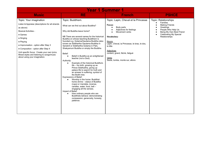| <b>Year 1 Summer 1</b>                                                                                                                                                                                                                                                                                                                                                                    |                                                                                                                                                                                                                                                                                                                                                                                                                                                                                                                                                                                                                                                                                                                                                                                                                                                                                                                                                                                                                                             |                                                                                                                                                                                                                                                                                                  |                                                                                                                                                                                                |
|-------------------------------------------------------------------------------------------------------------------------------------------------------------------------------------------------------------------------------------------------------------------------------------------------------------------------------------------------------------------------------------------|---------------------------------------------------------------------------------------------------------------------------------------------------------------------------------------------------------------------------------------------------------------------------------------------------------------------------------------------------------------------------------------------------------------------------------------------------------------------------------------------------------------------------------------------------------------------------------------------------------------------------------------------------------------------------------------------------------------------------------------------------------------------------------------------------------------------------------------------------------------------------------------------------------------------------------------------------------------------------------------------------------------------------------------------|--------------------------------------------------------------------------------------------------------------------------------------------------------------------------------------------------------------------------------------------------------------------------------------------------|------------------------------------------------------------------------------------------------------------------------------------------------------------------------------------------------|
| <b>Music</b>                                                                                                                                                                                                                                                                                                                                                                              | <b>RE</b>                                                                                                                                                                                                                                                                                                                                                                                                                                                                                                                                                                                                                                                                                                                                                                                                                                                                                                                                                                                                                                   | <b>French</b>                                                                                                                                                                                                                                                                                    | <b>PSHCE</b>                                                                                                                                                                                   |
| Topic: Your imagination<br>Listen & Appraise (descriptions for all strands<br>as above)<br><b>Musical Activities -</b><br>$\bullet$ Games<br>$\bullet$ Singing<br>• Playing<br>• Improvisation - option after Step 3<br>• Composition - option after Step 4<br>Unit specific focus: Create your own lyrics.<br>Mixed styles and listening to songs/music<br>about using your imagination. | Topic: Buddhism.<br>What can we find out about Buddha?<br>Why did Buddha leave home?<br>NB There are several names for the historical<br>Buddha on whose teaching Buddhism is<br>founded e.g. Gotama/Gautama Buddha (also<br>known as Siddhartha Gautama Buddha in<br>Sanskrit or Siddhartha Gotama in Pali),<br>Shakyamuni Buddha or simply the Buddha.<br>Belief:<br>Belief in Buddha as an enlightened<br>$\bullet$<br>teacher (not a God).<br>Authority:<br>Example of the historical Buddha's<br>$\bullet$<br>life - his birth, growing up as<br>Prince Siddhartha, giving up<br>palace life to search for truth and<br>an answer to suffering; symbol of<br>the Bodhi tree.<br>Expressions of Belief:<br>Worship in the home: Buddhist<br>$\bullet$<br>home shrine – statue of Buddha<br>(rupa) or mandala, incense,<br>candles, water, food, bell -<br>engaging all the senses.<br>Impact of Belief:<br>How ordinary people who are<br>$\bullet$<br>Buddhists behave: demonstrating<br>compassion, generosity, honesty,<br>patience. | Topic: Lapin, Cheval et la Princesse<br>Focus:<br>Body parts<br>Adjectives for feelings<br>Movement verbs<br>Vocabulary:<br>Nouns<br>Lapin, Cheval, la Princesse, le bras, le dos,<br>la tête<br><b>Adiectives</b><br>content, grand, fâché, fatigué<br>Verbs<br>Saute, tombe, monte sur, allons | <b>Topic: Relationships</b><br>Families<br><b>Making Friends</b><br>Greetings<br>$\bullet$<br>People Who Help Us<br>Being My Own Best Friend<br><b>Celebrating My Special</b><br>Relationships |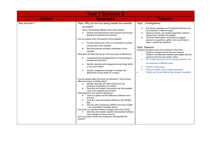| <b>Year 1 Summer 2</b> |                                                                                                                                                                                                                                                                                                                                                                                                                                                                                                                                                                                                                                                                                                                                                                                                                                                                                                                                                                                                                                                                                                                                                                                                                                                                                                                                                                                                                                                                                                                                                                                                       |                                                                                                                                                                                                                                                                                                                                                                                                                                                                                                                                                                                                                                                                                                                                                                                   |  |  |
|------------------------|-------------------------------------------------------------------------------------------------------------------------------------------------------------------------------------------------------------------------------------------------------------------------------------------------------------------------------------------------------------------------------------------------------------------------------------------------------------------------------------------------------------------------------------------------------------------------------------------------------------------------------------------------------------------------------------------------------------------------------------------------------------------------------------------------------------------------------------------------------------------------------------------------------------------------------------------------------------------------------------------------------------------------------------------------------------------------------------------------------------------------------------------------------------------------------------------------------------------------------------------------------------------------------------------------------------------------------------------------------------------------------------------------------------------------------------------------------------------------------------------------------------------------------------------------------------------------------------------------------|-----------------------------------------------------------------------------------------------------------------------------------------------------------------------------------------------------------------------------------------------------------------------------------------------------------------------------------------------------------------------------------------------------------------------------------------------------------------------------------------------------------------------------------------------------------------------------------------------------------------------------------------------------------------------------------------------------------------------------------------------------------------------------------|--|--|
| <b>History</b>         | <b>Geography</b>                                                                                                                                                                                                                                                                                                                                                                                                                                                                                                                                                                                                                                                                                                                                                                                                                                                                                                                                                                                                                                                                                                                                                                                                                                                                                                                                                                                                                                                                                                                                                                                      | <b>Science</b>                                                                                                                                                                                                                                                                                                                                                                                                                                                                                                                                                                                                                                                                                                                                                                    |  |  |
| See Summer 1           | Topic: Why do we love being beside the seaside<br>so much?<br>How is the seaside different from other places?<br>Identify and describe the main physical and human<br>features of seaside environments<br>How do people enjoy themselves at the seaside?<br>Provide reasons as to why it is important to protect<br>$\bullet$<br>living things at the seaside<br>Describe popular activities undertaken at the<br>seaside<br>What else did Sally find living in the rock pools at Wembury?<br>Understand the interdependence of living things in<br>$\bullet$<br>seaside environments<br>Identify, describe and categorise living things within<br>$\bullet$<br>a rock pool habitat<br>Identify, categorise and begin to explain the<br>$\bullet$<br>distribution of sea shells on a beach<br>How do people affect the beach at Wembury? How do they<br>affect the beach at Whitley Bay?<br>Identify, describe and offer reasons for the<br>$\bullet$<br>presence of pollution on a beach<br>Describe and explain how people can take greater<br>care of the seaside environment<br>Whereabouts in the world is Wembury?<br>Look at a globe and the difference between land<br>$\bullet$<br>and sea<br>Look at a map and pinpoint Wenbury and Whitley<br>$\bullet$<br>Bay<br>Discuss other places the children may have visited<br>- any examples of seaside resorts<br>How have our seaside holidays changed since the 1970s?<br>Describe and explain reasons why seaside holidays<br>$\bullet$<br>have changed in living memory<br>How have great artists and composers represented the<br>seaside? | Topic: Investigations<br>Ask simple questions and recognise that they can<br>be answered in different ways.<br>Observe closely, use simple equipment, perform<br>simple tests, identify and classify<br>Use their observations and ideas to suggest<br>answers to questions, gather and record data to<br>help in answering questions.<br>Topic: Seasons<br>(ongoing throughout year but reviewed in this term)<br>Observe changes across the four seasons<br>Observe and describe weather associated with the<br>seasons and how day length varies.<br>Ask simple questions and recognise that they can<br>be answered in different ways.<br>Perform simple tests.<br>Observe closely, using simple equipment.<br>Gather and record data to help answer a question.<br>$\bullet$ |  |  |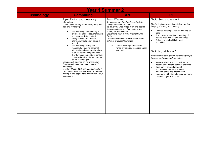| <b>Year 1 Summer 2</b> |                                                                                                                                                                                                                                                                                                                                                                                                                                                                                                                                                                                                                                                                                                                                                                                                                                  |                                                                                                                                                                                                                                                                                                                                                                                                                                        |                                                                                                                                                                                                                                                                                                                                                                                                                                                                                                                                                                                                                                                                                                                                                                         |  |
|------------------------|----------------------------------------------------------------------------------------------------------------------------------------------------------------------------------------------------------------------------------------------------------------------------------------------------------------------------------------------------------------------------------------------------------------------------------------------------------------------------------------------------------------------------------------------------------------------------------------------------------------------------------------------------------------------------------------------------------------------------------------------------------------------------------------------------------------------------------|----------------------------------------------------------------------------------------------------------------------------------------------------------------------------------------------------------------------------------------------------------------------------------------------------------------------------------------------------------------------------------------------------------------------------------------|-------------------------------------------------------------------------------------------------------------------------------------------------------------------------------------------------------------------------------------------------------------------------------------------------------------------------------------------------------------------------------------------------------------------------------------------------------------------------------------------------------------------------------------------------------------------------------------------------------------------------------------------------------------------------------------------------------------------------------------------------------------------------|--|
| <b>Technology</b>      | <b>Computing</b>                                                                                                                                                                                                                                                                                                                                                                                                                                                                                                                                                                                                                                                                                                                                                                                                                 | Art                                                                                                                                                                                                                                                                                                                                                                                                                                    | PE.                                                                                                                                                                                                                                                                                                                                                                                                                                                                                                                                                                                                                                                                                                                                                                     |  |
|                        | Topic: Finding and presenting<br>information.<br>IT and digital literacy, information, data, the<br>web and technology.<br>use technology purposefully to<br>create, organise, store, manipulate<br>and retrieve digital content<br>recognise common uses of<br>information technology beyond<br>school<br>use technology safely and<br>$\bullet$<br>respectfully, keeping personal<br>information private; identify where<br>to go for help and support when<br>they have concerns about content<br>or contact on the internet or other<br>online technologies<br>Using search engines online information.<br>Create graphs and introduce concept of<br>databases.<br>E-Safety-Health, Well-being and Lifestyle: I<br>can identify rules that help keep us safe and<br>healthy in and beyond the home when using<br>technology. | Topic: Weaving<br>To use a range of materials creatively to<br>design and make products.<br>To develop a wide range of art and design<br>techniques in using colour, texture, line,<br>shape, form and space.<br>Explore the work of famous artist Gunta<br>Stolzl.<br>Describe differences/similarities between<br>different practices/disciplines<br>Create woven patterns with a<br>range of materials including paper<br>and card. | Topic: Send and return 2<br>Master basic movements including running,<br>jumping, throwing and catching.<br>Develop sending skills with a variety of<br>$\bullet$<br>balls<br>Track, intercept and stop a variety of<br>$\bullet$<br>objects such as balls and beanbags<br>Select and apply skills to beat<br>$\bullet$<br>opposition<br>Topic: hit, catch, run 2<br>Participate in team games, developing simple<br>tactics for attacking and defending.<br>Increase stamina and core strength<br>$\bullet$<br>needed to undertake athletics activities<br>Take part in a broad range of<br>$\bullet$<br>opportunities to extend strength,<br>balance, agility and coordination<br>Cooperate with others to carry out more<br>$\bullet$<br>complex physical activities |  |